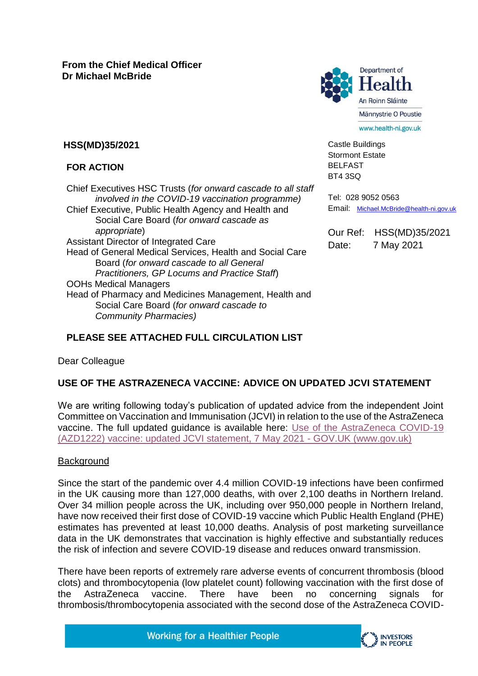

Castle Buildings Stormont Estate BELFAST BT4 3SQ

**HSS(MD)35/2021**

### **FOR ACTION**

Chief Executives HSC Trusts (*for onward cascade to all staff involved in the COVID-19 vaccination programme)* Chief Executive, Public Health Agency and Health and Social Care Board (*for onward cascade as appropriate*) Assistant Director of Integrated Care Head of General Medical Services, Health and Social Care Board (*for onward cascade to all General Practitioners, GP Locums and Practice Staff*) OOHs Medical Managers Head of Pharmacy and Medicines Management, Health and Social Care Board (*for onward cascade to Community Pharmacies)*

Tel: 028 9052 0563 Email: [Michael.McBride@health-ni.gov.uk](mailto:Michael.McBride@health-ni.gov.uk)

Our Ref: HSS(MD)35/2021 Date: 7 May 2021

# **PLEASE SEE ATTACHED FULL CIRCULATION LIST**

#### Dear Colleague

## **USE OF THE ASTRAZENECA VACCINE: ADVICE ON UPDATED JCVI STATEMENT**

We are writing following today's publication of updated advice from the independent Joint Committee on Vaccination and Immunisation (JCVI) in relation to the use of the AstraZeneca vaccine. The full updated guidance is available here: [Use of the AstraZeneca COVID-19](https://www.gov.uk/government/publications/use-of-the-astrazeneca-covid-19-vaccine-jcvi-statement-7-may-2021/use-of-the-astrazeneca-covid-19-azd1222-vaccine-updated-jcvi-statement-7-may-2021)  [\(AZD1222\) vaccine: updated JCVI statement, 7 May 2021 -](https://www.gov.uk/government/publications/use-of-the-astrazeneca-covid-19-vaccine-jcvi-statement-7-may-2021/use-of-the-astrazeneca-covid-19-azd1222-vaccine-updated-jcvi-statement-7-may-2021) GOV.UK (www.gov.uk)

#### **Background**

Since the start of the pandemic over 4.4 million COVID-19 infections have been confirmed in the UK causing more than 127,000 deaths, with over 2,100 deaths in Northern Ireland. Over 34 million people across the UK, including over 950,000 people in Northern Ireland, have now received their first dose of COVID-19 vaccine which Public Health England (PHE) estimates has prevented at least 10,000 deaths. Analysis of post marketing surveillance data in the UK demonstrates that vaccination is highly effective and substantially reduces the risk of infection and severe COVID-19 disease and reduces onward transmission.

There have been reports of extremely rare adverse events of concurrent thrombosis (blood clots) and thrombocytopenia (low platelet count) following vaccination with the first dose of the AstraZeneca vaccine. There have been no concerning signals for thrombosis/thrombocytopenia associated with the second dose of the AstraZeneca COVID-

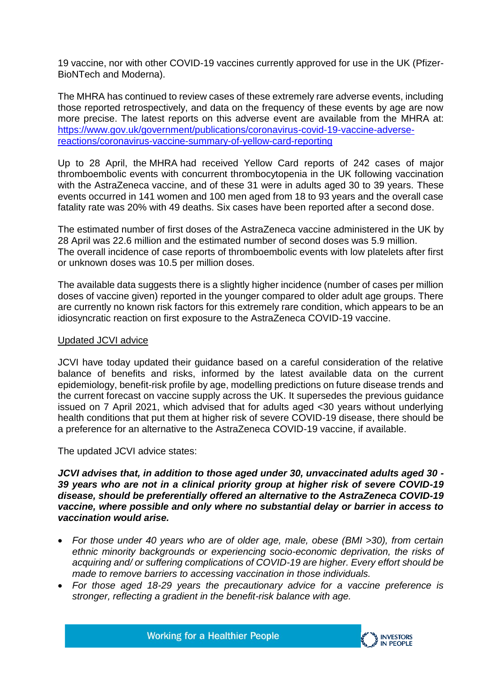19 vaccine, nor with other COVID-19 vaccines currently approved for use in the UK (Pfizer-BioNTech and Moderna).

The MHRA has continued to review cases of these extremely rare adverse events, including those reported retrospectively, and data on the frequency of these events by age are now more precise. The latest reports on this adverse event are available from the MHRA at: [https://www.gov.uk/government/publications/coronavirus-covid-19-vaccine-adverse](https://www.gov.uk/government/publications/coronavirus-covid-19-vaccine-adverse-reactions/coronavirus-vaccine-summary-of-yellow-card-reporting)[reactions/coronavirus-vaccine-summary-of-yellow-card-reporting](https://www.gov.uk/government/publications/coronavirus-covid-19-vaccine-adverse-reactions/coronavirus-vaccine-summary-of-yellow-card-reporting)

Up to 28 April, the MHRA had received Yellow Card reports of 242 cases of major thromboembolic events with concurrent thrombocytopenia in the UK following vaccination with the AstraZeneca vaccine, and of these 31 were in adults aged 30 to 39 years. These events occurred in 141 women and 100 men aged from 18 to 93 years and the overall case fatality rate was 20% with 49 deaths. Six cases have been reported after a second dose.

The estimated number of first doses of the AstraZeneca vaccine administered in the UK by 28 April was 22.6 million and the estimated number of second doses was 5.9 million. The overall incidence of case reports of thromboembolic events with low platelets after first or unknown doses was 10.5 per million doses.

The available data suggests there is a slightly higher incidence (number of cases per million doses of vaccine given) reported in the younger compared to older adult age groups. There are currently no known risk factors for this extremely rare condition, which appears to be an idiosyncratic reaction on first exposure to the AstraZeneca COVID-19 vaccine.

#### Updated JCVI advice

JCVI have today updated their guidance based on a careful consideration of the relative balance of benefits and risks, informed by the latest available data on the current epidemiology, benefit-risk profile by age, modelling predictions on future disease trends and the current forecast on vaccine supply across the UK. It supersedes the previous guidance issued on 7 April 2021, which advised that for adults aged <30 years without underlying health conditions that put them at higher risk of severe COVID-19 disease, there should be a preference for an alternative to the AstraZeneca COVID-19 vaccine, if available.

The updated JCVI advice states:

*JCVI advises that, in addition to those aged under 30, unvaccinated adults aged 30 - 39 years who are not in a clinical priority group at higher risk of severe COVID-19 disease, should be preferentially offered an alternative to the AstraZeneca COVID-19 vaccine, where possible and only where no substantial delay or barrier in access to vaccination would arise.* 

- *For those under 40 years who are of older age, male, obese (BMI >30), from certain ethnic minority backgrounds or experiencing socio-economic deprivation, the risks of acquiring and/ or suffering complications of COVID-19 are higher. Every effort should be made to remove barriers to accessing vaccination in those individuals.*
- *For those aged 18-29 years the precautionary advice for a vaccine preference is stronger, reflecting a gradient in the benefit-risk balance with age.*

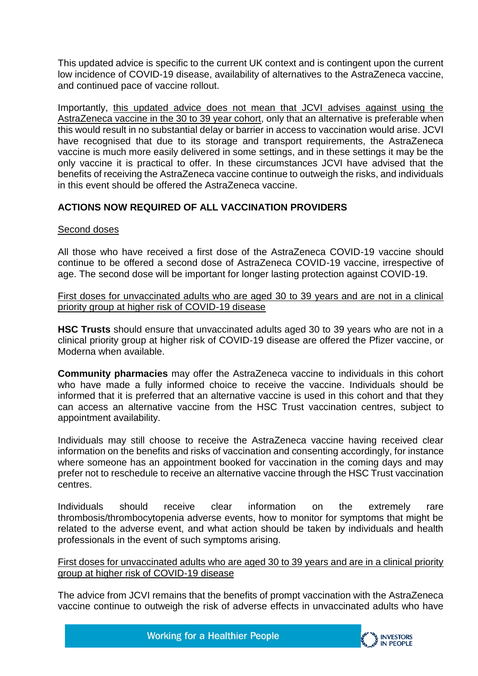This updated advice is specific to the current UK context and is contingent upon the current low incidence of COVID-19 disease, availability of alternatives to the AstraZeneca vaccine, and continued pace of vaccine rollout.

Importantly, this updated advice does not mean that JCVI advises against using the AstraZeneca vaccine in the 30 to 39 year cohort, only that an alternative is preferable when this would result in no substantial delay or barrier in access to vaccination would arise. JCVI have recognised that due to its storage and transport requirements, the AstraZeneca vaccine is much more easily delivered in some settings, and in these settings it may be the only vaccine it is practical to offer. In these circumstances JCVI have advised that the benefits of receiving the AstraZeneca vaccine continue to outweigh the risks, and individuals in this event should be offered the AstraZeneca vaccine.

## **ACTIONS NOW REQUIRED OF ALL VACCINATION PROVIDERS**

### Second doses

All those who have received a first dose of the AstraZeneca COVID-19 vaccine should continue to be offered a second dose of AstraZeneca COVID-19 vaccine, irrespective of age. The second dose will be important for longer lasting protection against COVID-19.

First doses for unvaccinated adults who are aged 30 to 39 years and are not in a clinical priority group at higher risk of COVID-19 disease

**HSC Trusts** should ensure that unvaccinated adults aged 30 to 39 years who are not in a clinical priority group at higher risk of COVID-19 disease are offered the Pfizer vaccine, or Moderna when available.

**Community pharmacies** may offer the AstraZeneca vaccine to individuals in this cohort who have made a fully informed choice to receive the vaccine. Individuals should be informed that it is preferred that an alternative vaccine is used in this cohort and that they can access an alternative vaccine from the HSC Trust vaccination centres, subject to appointment availability.

Individuals may still choose to receive the AstraZeneca vaccine having received clear information on the benefits and risks of vaccination and consenting accordingly, for instance where someone has an appointment booked for vaccination in the coming days and may prefer not to reschedule to receive an alternative vaccine through the HSC Trust vaccination centres.

Individuals should receive clear information on the extremely rare thrombosis/thrombocytopenia adverse events, how to monitor for symptoms that might be related to the adverse event, and what action should be taken by individuals and health professionals in the event of such symptoms arising.

First doses for unvaccinated adults who are aged 30 to 39 years and are in a clinical priority group at higher risk of COVID-19 disease

The advice from JCVI remains that the benefits of prompt vaccination with the AstraZeneca vaccine continue to outweigh the risk of adverse effects in unvaccinated adults who have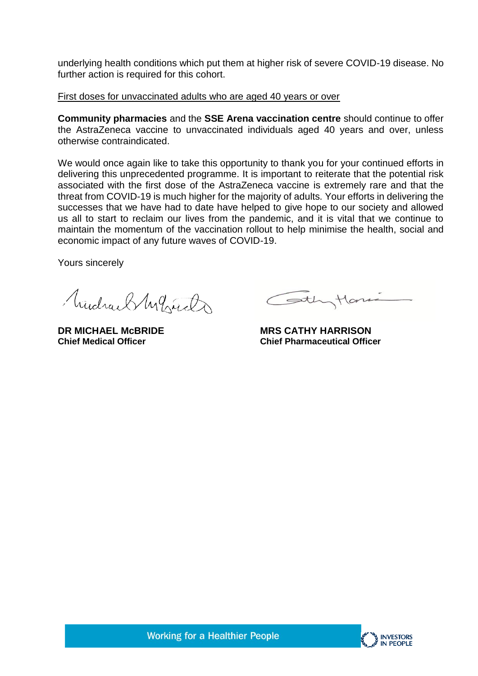underlying health conditions which put them at higher risk of severe COVID-19 disease. No further action is required for this cohort.

First doses for unvaccinated adults who are aged 40 years or over

**Community pharmacies** and the **SSE Arena vaccination centre** should continue to offer the AstraZeneca vaccine to unvaccinated individuals aged 40 years and over, unless otherwise contraindicated.

We would once again like to take this opportunity to thank you for your continued efforts in delivering this unprecedented programme. It is important to reiterate that the potential risk associated with the first dose of the AstraZeneca vaccine is extremely rare and that the threat from COVID-19 is much higher for the majority of adults. Your efforts in delivering the successes that we have had to date have helped to give hope to our society and allowed us all to start to reclaim our lives from the pandemic, and it is vital that we continue to maintain the momentum of the vaccination rollout to help minimise the health, social and economic impact of any future waves of COVID-19.

Yours sincerely

Mudrael My hireda

Cothytone

**DR MICHAEL McBRIDE MRS CATHY HARRISON Chief Medical Officer Chief Pharmaceutical Officer**